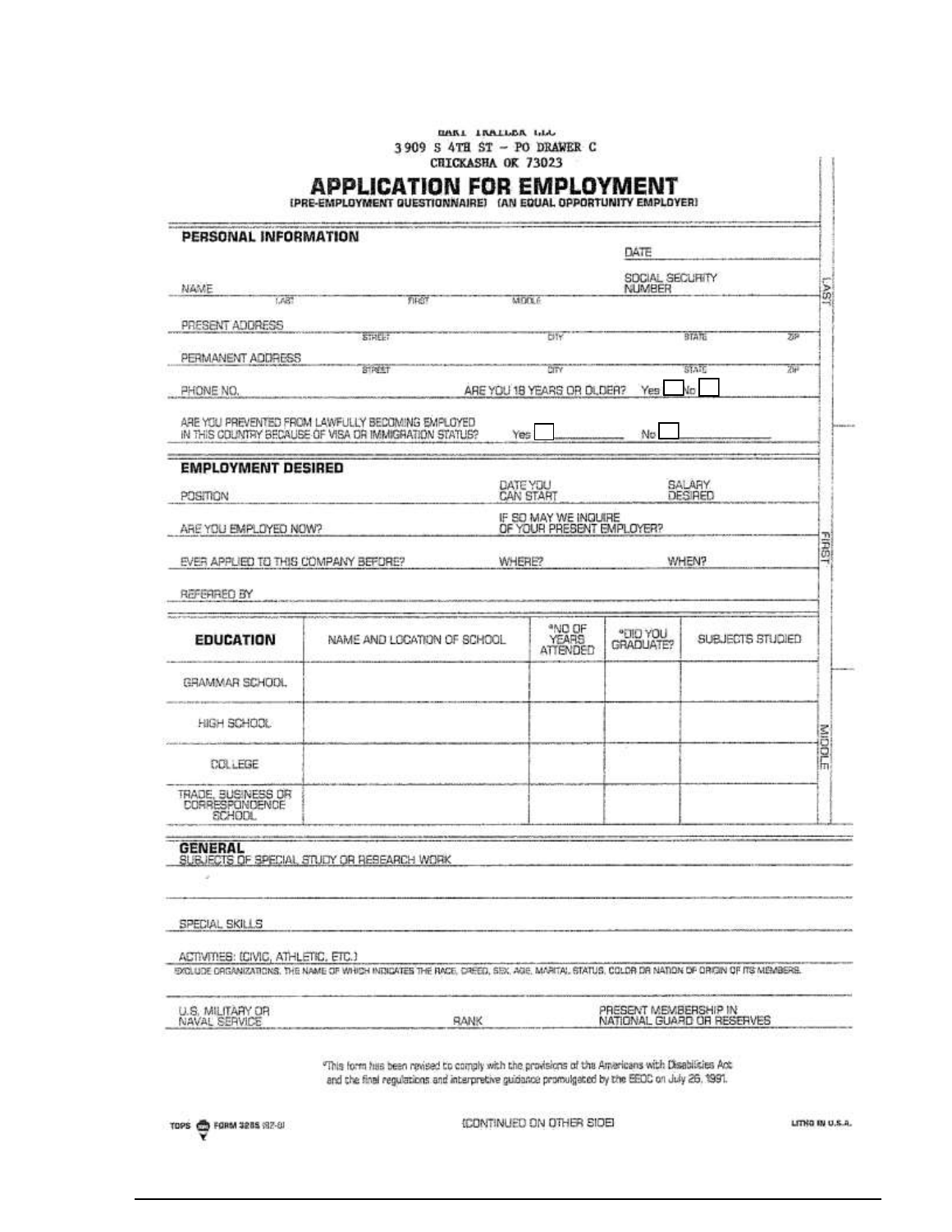DARL IRALIAR LIA<br>3909 S 4TH ST - PO DRAWER C

| PERSONAL INFORMATION                           |                                                                                                             |                       |                                                   | DATE                          |                    |                 |
|------------------------------------------------|-------------------------------------------------------------------------------------------------------------|-----------------------|---------------------------------------------------|-------------------------------|--------------------|-----------------|
| NAME                                           |                                                                                                             |                       |                                                   | SOCIAL SECURITY<br>NUMBER     |                    |                 |
| LAB?                                           | FIFET                                                                                                       | <b>MDDLF</b>          |                                                   |                               |                    | Sv <sup>-</sup> |
| PRESENT ADDRESS                                | STREET                                                                                                      |                       | DIY                                               |                               | <b>BTATE</b><br>万户 |                 |
| PERMANENT ADDRESS                              | <b>BIREET</b>                                                                                               |                       | CITY                                              |                               | STATE<br>39        |                 |
| PHONE NO.                                      |                                                                                                             |                       | ARE YOU 18 YEARS OR DUDER?                        | Yes                           | ۷o                 |                 |
|                                                | ARE YOU PREVENTED FROM LAWFULLY BECOMING EMPLOYED<br>IN THIS COUNTRY BECAUSE OF VISA OR IMMIGRATION STATUS? | Yes                   |                                                   | No                            |                    |                 |
| <b>EMPLOYMENT DESIRED</b>                      |                                                                                                             |                       |                                                   |                               |                    |                 |
| <b>POSITION</b>                                |                                                                                                             | DATE YOU<br>CAN START |                                                   |                               | SALARY<br>DESIRED  |                 |
| ARE YOU EMPLOYED NOW?                          |                                                                                                             |                       | IF SO MAY WE INQUIRE<br>OF YOUR PRESENT EMPLOYER? |                               |                    |                 |
| EVER APPLIED TO THIS COMPANY BEFORE?           |                                                                                                             | WHERE?                |                                                   |                               | WHEN?              | <b>EIRS</b>     |
| REFERRED BY                                    |                                                                                                             |                       |                                                   |                               |                    |                 |
| <b>EDUCATION</b>                               | NAME AND LOCATION OF SCHOOL                                                                                 |                       | <sup>*NO</sup> OF<br>YEARS<br><b>ATTENDED</b>     | <b>UOY OID</b> *<br>GRADUATE? | SUBJECTS STUDIED   |                 |
| GRAMMAR SCHOOL                                 |                                                                                                             |                       |                                                   |                               |                    |                 |
| HIGH SCHOOL                                    |                                                                                                             |                       |                                                   |                               |                    |                 |
| <b>COLLEGE</b>                                 |                                                                                                             |                       |                                                   |                               |                    | MIDOLE          |
| TRADE, BUSINESS DR<br>DORRESPONDENCE<br>SCHOOL |                                                                                                             |                       |                                                   |                               |                    |                 |
| <b>GENERAL</b>                                 | SUBJECTS OF SPECIAL STUDY OR RESEARCH WORK                                                                  |                       |                                                   |                               |                    |                 |
|                                                |                                                                                                             |                       |                                                   |                               |                    |                 |
| SPECIAL SKILLS                                 |                                                                                                             |                       |                                                   |                               |                    |                 |
| ACTIVITIES: (CIVIC, ATHLETIC, ETC.)            |                                                                                                             |                       |                                                   |                               |                    |                 |

This form his been revised to comply with the provisions of the Americans with Disabilities Act<br>and the final regulations and interpretive guidance promulgated by the EEOC on July 26, 1991.

TOPS @ FORM 3205 92-91

**ICONTINUED ON OTHER SIDE!** 

LITHO IN U.S.A.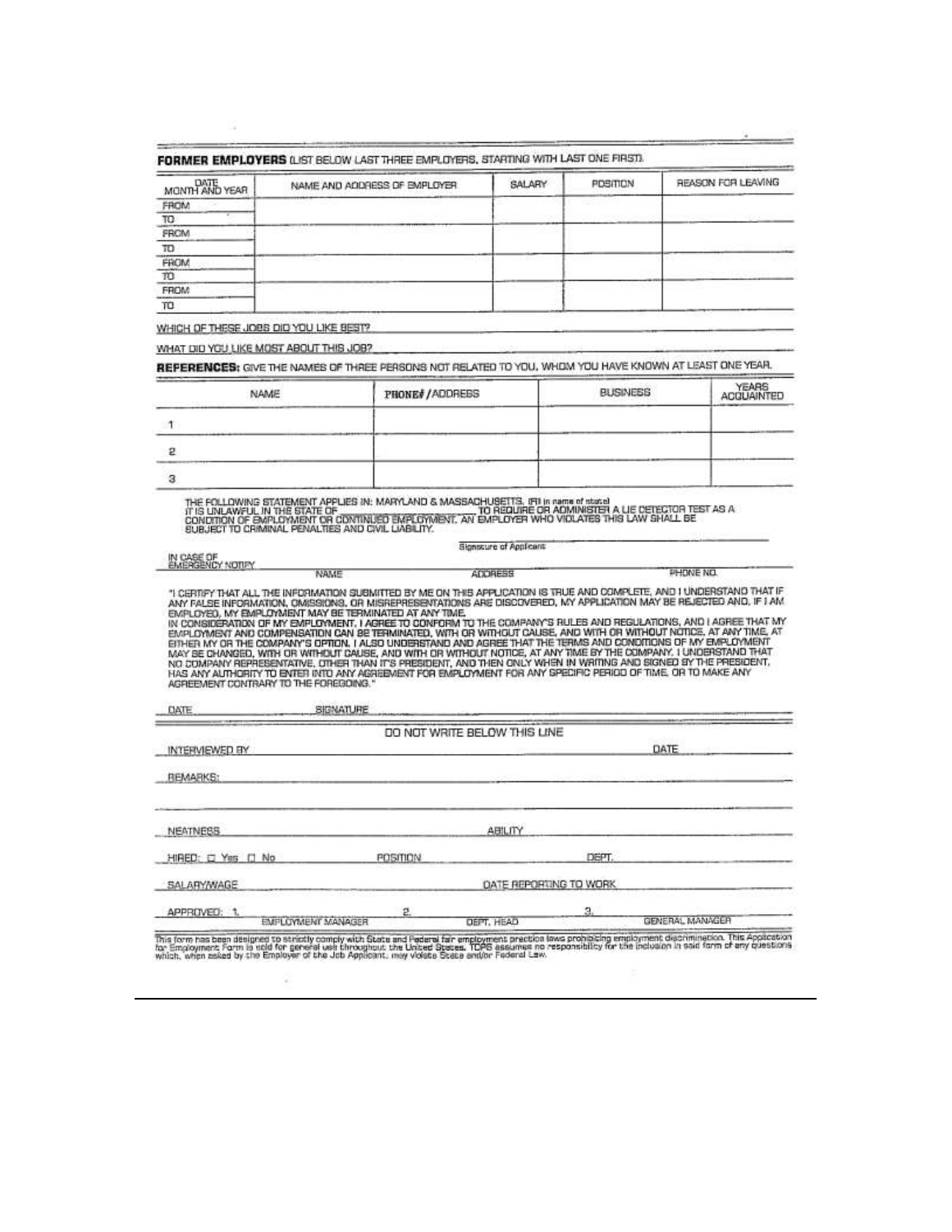|                                                                                                         |                                                            | FORMER EMPLOYERS (LIST BELOW LAST THREE EMPLOYERS, STARTING WITH LAST ONE FIRST).                                                                                                                                                                                                                                                                                                                                                                                                                                                                                                                                                                                                                                                                                                                                                                                                                                                                                |                                                 |                                                   |                    |                            |
|---------------------------------------------------------------------------------------------------------|------------------------------------------------------------|------------------------------------------------------------------------------------------------------------------------------------------------------------------------------------------------------------------------------------------------------------------------------------------------------------------------------------------------------------------------------------------------------------------------------------------------------------------------------------------------------------------------------------------------------------------------------------------------------------------------------------------------------------------------------------------------------------------------------------------------------------------------------------------------------------------------------------------------------------------------------------------------------------------------------------------------------------------|-------------------------------------------------|---------------------------------------------------|--------------------|----------------------------|
| DATE<br>MONTH AND YEAR                                                                                  | NAME AND ADDRESS OF EMPLOYER                               |                                                                                                                                                                                                                                                                                                                                                                                                                                                                                                                                                                                                                                                                                                                                                                                                                                                                                                                                                                  | SALARY                                          | <b>PDSITION</b>                                   | REASON FOR LEAVING |                            |
| <b>FROM</b>                                                                                             |                                                            |                                                                                                                                                                                                                                                                                                                                                                                                                                                                                                                                                                                                                                                                                                                                                                                                                                                                                                                                                                  |                                                 |                                                   |                    |                            |
| 10                                                                                                      |                                                            |                                                                                                                                                                                                                                                                                                                                                                                                                                                                                                                                                                                                                                                                                                                                                                                                                                                                                                                                                                  |                                                 |                                                   |                    |                            |
| FROM                                                                                                    |                                                            |                                                                                                                                                                                                                                                                                                                                                                                                                                                                                                                                                                                                                                                                                                                                                                                                                                                                                                                                                                  |                                                 |                                                   |                    |                            |
| TD                                                                                                      |                                                            |                                                                                                                                                                                                                                                                                                                                                                                                                                                                                                                                                                                                                                                                                                                                                                                                                                                                                                                                                                  |                                                 |                                                   |                    |                            |
| FROM<br>70                                                                                              |                                                            |                                                                                                                                                                                                                                                                                                                                                                                                                                                                                                                                                                                                                                                                                                                                                                                                                                                                                                                                                                  |                                                 |                                                   |                    |                            |
| <b>FROM</b>                                                                                             |                                                            |                                                                                                                                                                                                                                                                                                                                                                                                                                                                                                                                                                                                                                                                                                                                                                                                                                                                                                                                                                  |                                                 |                                                   |                    |                            |
| ΤΟ                                                                                                      |                                                            |                                                                                                                                                                                                                                                                                                                                                                                                                                                                                                                                                                                                                                                                                                                                                                                                                                                                                                                                                                  |                                                 |                                                   |                    |                            |
|                                                                                                         | WHICH OF THESE JOBS DID YOU LIKE BEST?                     |                                                                                                                                                                                                                                                                                                                                                                                                                                                                                                                                                                                                                                                                                                                                                                                                                                                                                                                                                                  |                                                 |                                                   |                    |                            |
|                                                                                                         | WHAT DID YOU LIKE MOST ABOUT THIS JOB?                     |                                                                                                                                                                                                                                                                                                                                                                                                                                                                                                                                                                                                                                                                                                                                                                                                                                                                                                                                                                  |                                                 |                                                   |                    |                            |
|                                                                                                         |                                                            | REFERENCES: GIVE THE NAMES OF THREE PERSONS NOT RELATED TO YOU, WHOM YOU HAVE KNOWN AT LEAST ONE YEAR.                                                                                                                                                                                                                                                                                                                                                                                                                                                                                                                                                                                                                                                                                                                                                                                                                                                           |                                                 |                                                   |                    |                            |
| NAME                                                                                                    |                                                            | PHONE# / ADDRESS                                                                                                                                                                                                                                                                                                                                                                                                                                                                                                                                                                                                                                                                                                                                                                                                                                                                                                                                                 |                                                 | <b>BUSINESS</b>                                   |                    | YEARS<br><b>ACQUAINTED</b> |
| л.                                                                                                      |                                                            |                                                                                                                                                                                                                                                                                                                                                                                                                                                                                                                                                                                                                                                                                                                                                                                                                                                                                                                                                                  |                                                 |                                                   |                    |                            |
| 2                                                                                                       |                                                            |                                                                                                                                                                                                                                                                                                                                                                                                                                                                                                                                                                                                                                                                                                                                                                                                                                                                                                                                                                  |                                                 |                                                   |                    |                            |
| з                                                                                                       |                                                            |                                                                                                                                                                                                                                                                                                                                                                                                                                                                                                                                                                                                                                                                                                                                                                                                                                                                                                                                                                  |                                                 |                                                   |                    |                            |
| IT IS UNLAWFUL IN THE STATE OF<br>IN CASE OF<br>EMERGENCY NOTIFY                                        | SUBJECT TO CRIMINAL PENALTIES AND CIVIL LIABILITY.<br>NAME | THE FOLLOWING STATEMENT APPLIES IN: MARYLAND & MASSACHUSETTS, IFI in name of state)<br>CONDITION OF EMPLOYMENT OR CONTINUED EMPLOYMENT. AN EMPLOYER WHO VIOLATES THIS LAW SHALL BE                                                                                                                                                                                                                                                                                                                                                                                                                                                                                                                                                                                                                                                                                                                                                                               | <b>Signscure of Applicant</b><br><b>ADDRESS</b> | TO REQUIRE OR ADMINISTER A LIE DETECTOR TEST AS A | PHONE NO.          |                            |
|                                                                                                         | <b>SIGNATURE</b>                                           | "I CERTIFY THAT ALL THE INFORMATION SUBMITTED BY ME ON THIS APPLICATION IS TRUE AND COMPLETE, AND I UNDERSTAND THAT IF<br>ANY FALSE INFORMATION, OMISSIONS. OR MISREPRESENTATIONS ARE DISCOVERED, MY APPLICATION MAY BE REJECTED AND, IF I AM<br>IN CONSIDERATION OF MY EMPLOYMENT, I AGREE TO CONFORM TO THE COMPANY'S RULES AND REGULATIONS, AND I AGREE THAT MY<br>EMPLOYMENT AND COMPENSATION CAN BE TERMINATED, WITH OR WITHOUT CAUSE, AND WITH OR WITHOUT NOTICE, AT ANY TIME, AT<br>EITHER MY OR THE COMPANY'S OPTION. I ALSO UNDERSTAND AND AGREE THAT THE TERMS AND CONOITIONS OF MY EMPLOYMENT<br>MAY BE CHANGED, WITH OR WITHOUT CAUSE, AND WITH OR WITHOUT NOTICE, AT ANY TIME BY THE COMPANY, I UNDERSTAND THAT<br>NO COMPANY REPRESENTATIVE, OTHER THAN IT'S PRESIDENT, AND THEN ONLY WHEN IN WRITING AND SIGNED BY THE PRESIDENT,<br>HAS ANY AUTHORITY TO ENTER INTO ANY AGREEMENT FOR EMPLOYMENT FOR ANY SPECIFIC PERIOD OF TIME, OR TO MAKE ANY |                                                 |                                                   |                    |                            |
| EMPLOYED, MY EMPLOYMENT MAY BE TERMINATED AT ANY TIME.<br>AGREEMENT CONTRARY TO THE FOREGOING."<br>DATE |                                                            | DO NOT WRITE BELOW THIS LINE                                                                                                                                                                                                                                                                                                                                                                                                                                                                                                                                                                                                                                                                                                                                                                                                                                                                                                                                     |                                                 |                                                   |                    |                            |
| <b>INTERVIEWED BY</b>                                                                                   |                                                            |                                                                                                                                                                                                                                                                                                                                                                                                                                                                                                                                                                                                                                                                                                                                                                                                                                                                                                                                                                  |                                                 |                                                   | DATE               |                            |
| <b>REMARKS:</b>                                                                                         |                                                            |                                                                                                                                                                                                                                                                                                                                                                                                                                                                                                                                                                                                                                                                                                                                                                                                                                                                                                                                                                  |                                                 |                                                   |                    |                            |
| <b>NEATNESS</b>                                                                                         |                                                            |                                                                                                                                                                                                                                                                                                                                                                                                                                                                                                                                                                                                                                                                                                                                                                                                                                                                                                                                                                  | ABILITY                                         |                                                   |                    |                            |
|                                                                                                         |                                                            | POSMON                                                                                                                                                                                                                                                                                                                                                                                                                                                                                                                                                                                                                                                                                                                                                                                                                                                                                                                                                           |                                                 | DEPT                                              |                    |                            |
| HIRED: C Yes C No.<br><b>SALARY/WAGE</b>                                                                |                                                            |                                                                                                                                                                                                                                                                                                                                                                                                                                                                                                                                                                                                                                                                                                                                                                                                                                                                                                                                                                  | OATE REPORTING TO WORK                          |                                                   |                    |                            |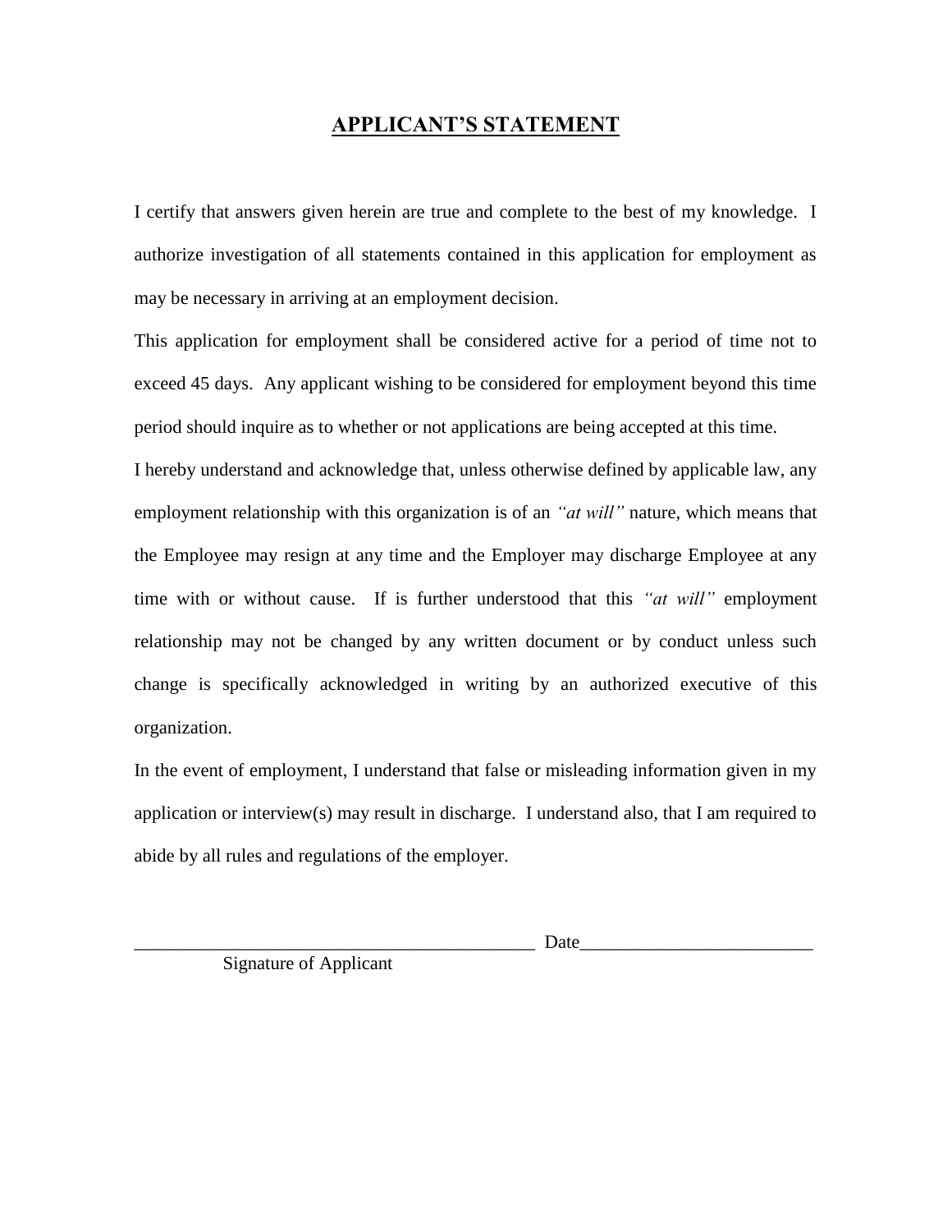## **APPLICANT'S STATEMENT**

I certify that answers given herein are true and complete to the best of my knowledge. I authorize investigation of all statements contained in this application for employment as may be necessary in arriving at an employment decision.

This application for employment shall be considered active for a period of time not to exceed 45 days. Any applicant wishing to be considered for employment beyond this time period should inquire as to whether or not applications are being accepted at this time.

I hereby understand and acknowledge that, unless otherwise defined by applicable law, any employment relationship with this organization is of an *"at will"* nature, which means that the Employee may resign at any time and the Employer may discharge Employee at any time with or without cause. If is further understood that this *"at will"* employment relationship may not be changed by any written document or by conduct unless such change is specifically acknowledged in writing by an authorized executive of this organization.

In the event of employment, I understand that false or misleading information given in my application or interview(s) may result in discharge. I understand also, that I am required to abide by all rules and regulations of the employer.

Signature of Applicant

\_\_\_\_\_\_\_\_\_\_\_\_\_\_\_\_\_\_\_\_\_\_\_\_\_\_\_\_\_\_\_\_\_\_\_\_\_\_\_\_\_\_\_ Date\_\_\_\_\_\_\_\_\_\_\_\_\_\_\_\_\_\_\_\_\_\_\_\_\_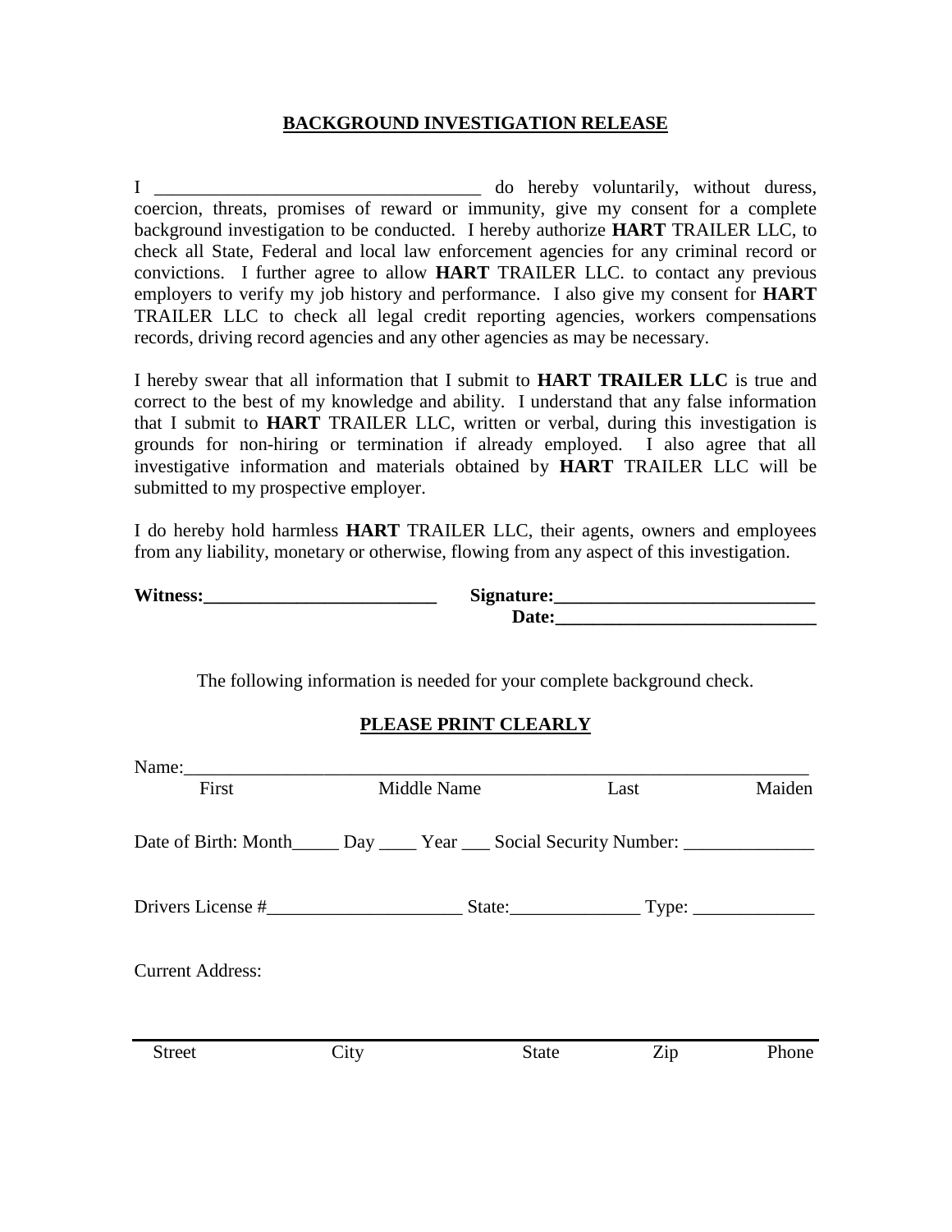### **BACKGROUND INVESTIGATION RELEASE**

I \_\_\_\_\_\_\_\_\_\_\_\_\_\_\_\_\_\_\_\_\_\_\_\_\_\_\_\_\_\_\_\_\_\_\_ do hereby voluntarily, without duress, coercion, threats, promises of reward or immunity, give my consent for a complete background investigation to be conducted. I hereby authorize **HART** TRAILER LLC, to check all State, Federal and local law enforcement agencies for any criminal record or convictions. I further agree to allow **HART** TRAILER LLC. to contact any previous employers to verify my job history and performance. I also give my consent for **HART** TRAILER LLC to check all legal credit reporting agencies, workers compensations records, driving record agencies and any other agencies as may be necessary.

I hereby swear that all information that I submit to **HART TRAILER LLC** is true and correct to the best of my knowledge and ability. I understand that any false information that I submit to **HART** TRAILER LLC, written or verbal, during this investigation is grounds for non-hiring or termination if already employed. I also agree that all investigative information and materials obtained by **HART** TRAILER LLC will be submitted to my prospective employer.

I do hereby hold harmless **HART** TRAILER LLC, their agents, owners and employees from any liability, monetary or otherwise, flowing from any aspect of this investigation.

**Witness:\_\_\_\_\_\_\_\_\_\_\_\_\_\_\_\_\_\_\_\_\_\_\_\_\_ Signature:\_\_\_\_\_\_\_\_\_\_\_\_\_\_\_\_\_\_\_\_\_\_\_\_\_\_\_\_** Date:

The following information is needed for your complete background check.

### **PLEASE PRINT CLEARLY**

| Name:                                                                                   |      |             |              |      |        |
|-----------------------------------------------------------------------------------------|------|-------------|--------------|------|--------|
| First                                                                                   |      | Middle Name |              | Last | Maiden |
| Date of Birth: Month______ Day _____ Year ____ Social Security Number: ________________ |      |             |              |      |        |
|                                                                                         |      |             |              |      |        |
| <b>Current Address:</b>                                                                 |      |             |              |      |        |
| <b>Street</b>                                                                           | City |             | <b>State</b> | Zip  | Phone  |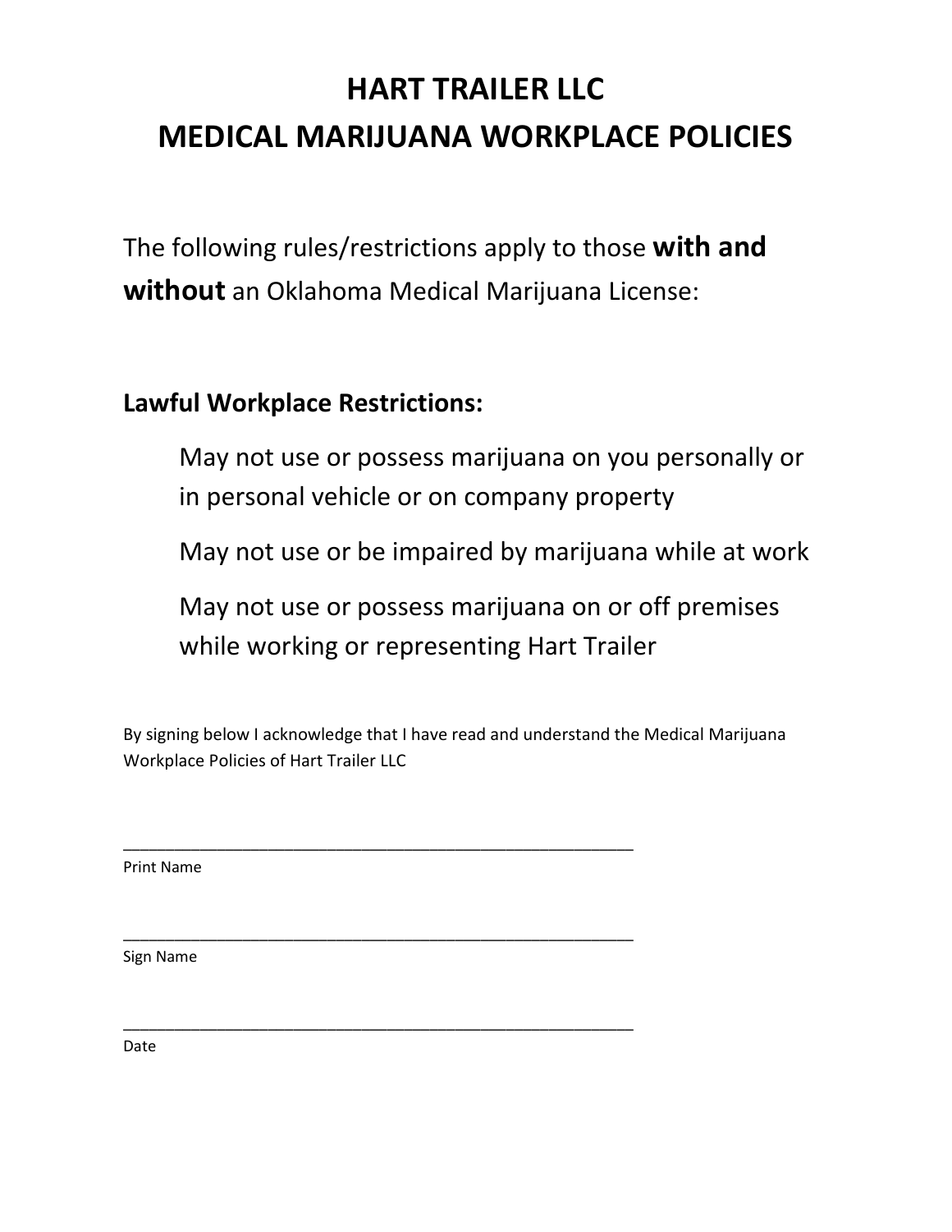# **HART TRAILER LLC MEDICAL MARIJUANA WORKPLACE POLICIES**

The following rules/restrictions apply to those **with and without** an Oklahoma Medical Marijuana License:

# **Lawful Workplace Restrictions:**

May not use or possess marijuana on you personally or in personal vehicle or on company property

May not use or be impaired by marijuana while at work

May not use or possess marijuana on or off premises while working or representing Hart Trailer

By signing below I acknowledge that I have read and understand the Medical Marijuana Workplace Policies of Hart Trailer LLC

\_\_\_\_\_\_\_\_\_\_\_\_\_\_\_\_\_\_\_\_\_\_\_\_\_\_\_\_\_\_\_\_\_\_\_\_\_\_\_\_\_\_\_\_\_\_\_\_\_\_\_\_\_\_\_\_\_\_\_\_

\_\_\_\_\_\_\_\_\_\_\_\_\_\_\_\_\_\_\_\_\_\_\_\_\_\_\_\_\_\_\_\_\_\_\_\_\_\_\_\_\_\_\_\_\_\_\_\_\_\_\_\_\_\_\_\_\_\_\_\_

\_\_\_\_\_\_\_\_\_\_\_\_\_\_\_\_\_\_\_\_\_\_\_\_\_\_\_\_\_\_\_\_\_\_\_\_\_\_\_\_\_\_\_\_\_\_\_\_\_\_\_\_\_\_\_\_\_\_\_\_

Print Name

Sign Name

Date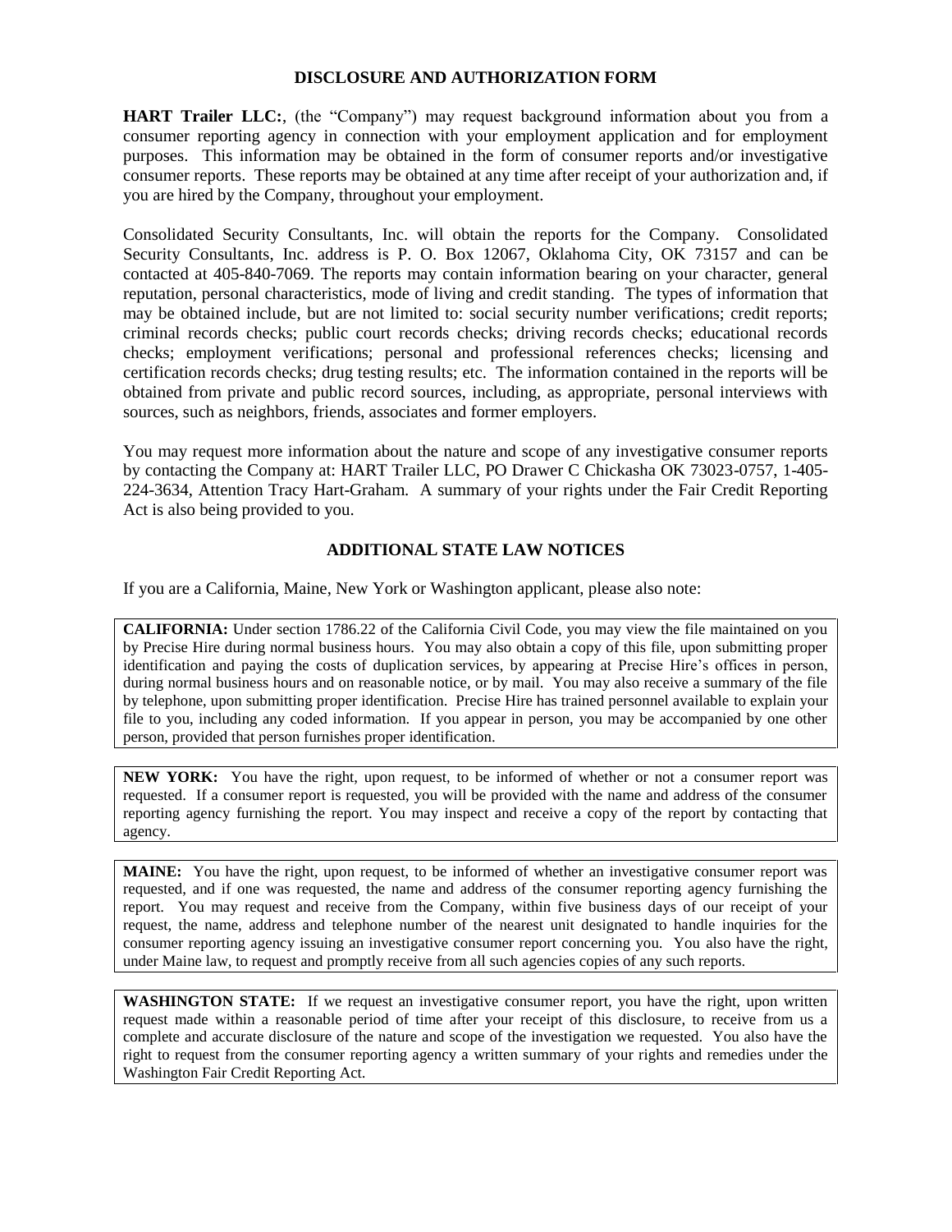#### **DISCLOSURE AND AUTHORIZATION FORM**

**HART Trailer LLC:**, (the "Company") may request background information about you from a consumer reporting agency in connection with your employment application and for employment purposes. This information may be obtained in the form of consumer reports and/or investigative consumer reports. These reports may be obtained at any time after receipt of your authorization and, if you are hired by the Company, throughout your employment.

Consolidated Security Consultants, Inc. will obtain the reports for the Company. Consolidated Security Consultants, Inc. address is P. O. Box 12067, Oklahoma City, OK 73157 and can be contacted at 405-840-7069. The reports may contain information bearing on your character, general reputation, personal characteristics, mode of living and credit standing. The types of information that may be obtained include, but are not limited to: social security number verifications; credit reports; criminal records checks; public court records checks; driving records checks; educational records checks; employment verifications; personal and professional references checks; licensing and certification records checks; drug testing results; etc. The information contained in the reports will be obtained from private and public record sources, including, as appropriate, personal interviews with sources, such as neighbors, friends, associates and former employers.

You may request more information about the nature and scope of any investigative consumer reports by contacting the Company at: HART Trailer LLC, PO Drawer C Chickasha OK 73023-0757, 1-405- 224-3634, Attention Tracy Hart-Graham. A summary of your rights under the Fair Credit Reporting Act is also being provided to you.

#### **ADDITIONAL STATE LAW NOTICES**

If you are a California, Maine, New York or Washington applicant, please also note:

**CALIFORNIA:** Under section 1786.22 of the California Civil Code, you may view the file maintained on you by Precise Hire during normal business hours. You may also obtain a copy of this file, upon submitting proper identification and paying the costs of duplication services, by appearing at Precise Hire's offices in person, during normal business hours and on reasonable notice, or by mail. You may also receive a summary of the file by telephone, upon submitting proper identification. Precise Hire has trained personnel available to explain your file to you, including any coded information. If you appear in person, you may be accompanied by one other person, provided that person furnishes proper identification.

**NEW YORK:** You have the right, upon request, to be informed of whether or not a consumer report was requested. If a consumer report is requested, you will be provided with the name and address of the consumer reporting agency furnishing the report. You may inspect and receive a copy of the report by contacting that agency.

**MAINE:** You have the right, upon request, to be informed of whether an investigative consumer report was requested, and if one was requested, the name and address of the consumer reporting agency furnishing the report. You may request and receive from the Company, within five business days of our receipt of your request, the name, address and telephone number of the nearest unit designated to handle inquiries for the consumer reporting agency issuing an investigative consumer report concerning you. You also have the right, under Maine law, to request and promptly receive from all such agencies copies of any such reports.

**WASHINGTON STATE:** If we request an investigative consumer report, you have the right, upon written request made within a reasonable period of time after your receipt of this disclosure, to receive from us a complete and accurate disclosure of the nature and scope of the investigation we requested. You also have the right to request from the consumer reporting agency a written summary of your rights and remedies under the Washington Fair Credit Reporting Act.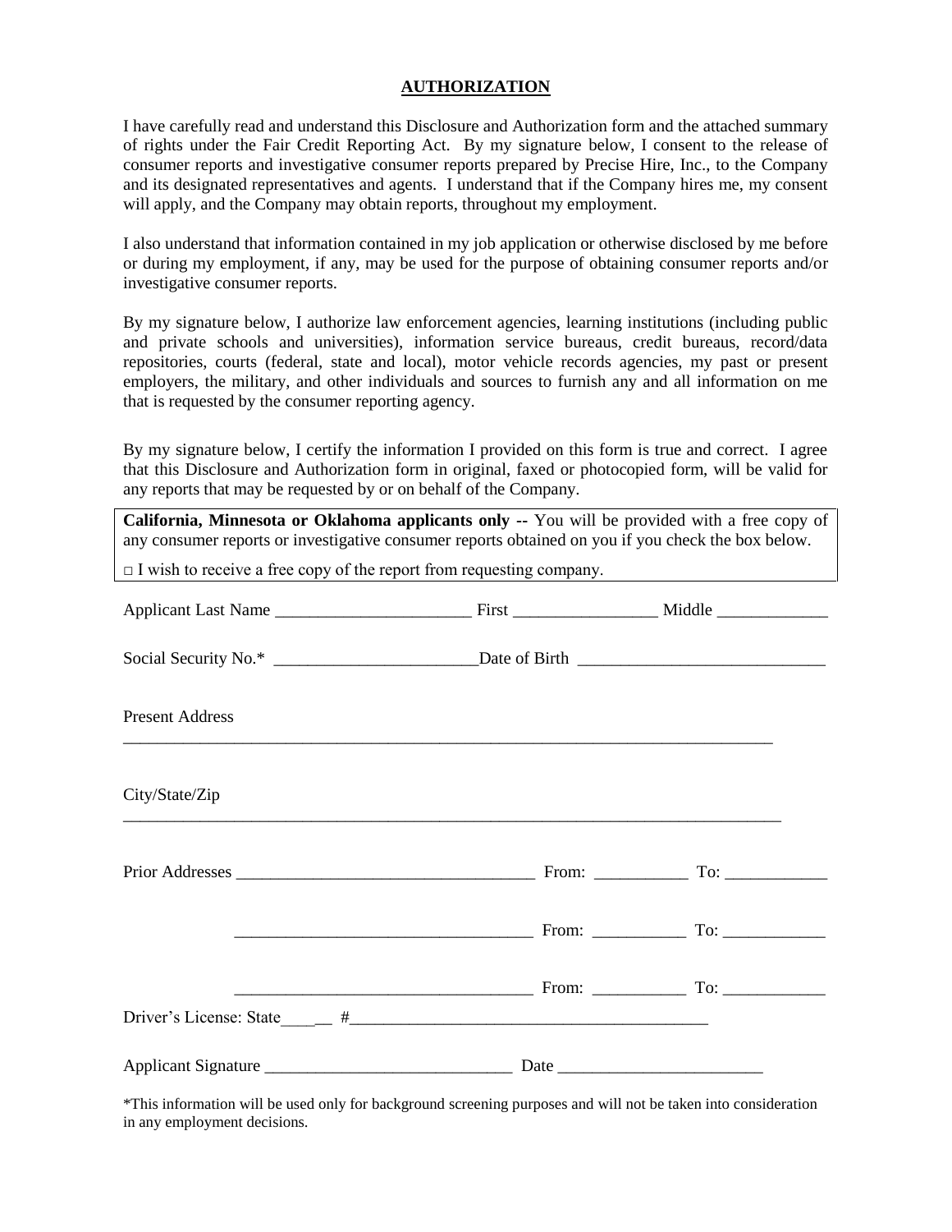#### **AUTHORIZATION**

I have carefully read and understand this Disclosure and Authorization form and the attached summary of rights under the Fair Credit Reporting Act. By my signature below, I consent to the release of consumer reports and investigative consumer reports prepared by Precise Hire, Inc., to the Company and its designated representatives and agents. I understand that if the Company hires me, my consent will apply, and the Company may obtain reports, throughout my employment.

I also understand that information contained in my job application or otherwise disclosed by me before or during my employment, if any, may be used for the purpose of obtaining consumer reports and/or investigative consumer reports.

By my signature below, I authorize law enforcement agencies, learning institutions (including public and private schools and universities), information service bureaus, credit bureaus, record/data repositories, courts (federal, state and local), motor vehicle records agencies, my past or present employers, the military, and other individuals and sources to furnish any and all information on me that is requested by the consumer reporting agency.

By my signature below, I certify the information I provided on this form is true and correct. I agree that this Disclosure and Authorization form in original, faxed or photocopied form, will be valid for any reports that may be requested by or on behalf of the Company.

**California, Minnesota or Oklahoma applicants only --** You will be provided with a free copy of any consumer reports or investigative consumer reports obtained on you if you check the box below.  $\Box$  I wish to receive a free copy of the report from requesting company. Applicant Last Name \_\_\_\_\_\_\_\_\_\_\_\_\_\_\_\_\_\_\_\_\_\_\_ First \_\_\_\_\_\_\_\_\_\_\_\_\_\_\_\_\_ Middle \_\_\_\_\_\_\_\_\_\_\_\_\_ Social Security No.\* \_\_\_\_\_\_\_\_\_\_\_\_\_\_\_\_\_\_\_\_\_\_\_\_Date of Birth \_\_\_\_\_\_\_\_\_\_\_\_\_\_\_\_\_\_\_\_\_\_\_\_\_\_\_\_\_ Present Address \_\_\_\_\_\_\_\_\_\_\_\_\_\_\_\_\_\_\_\_\_\_\_\_\_\_\_\_\_\_\_\_\_\_\_\_\_\_\_\_\_\_\_\_\_\_\_\_\_\_\_\_\_\_\_\_\_\_\_\_\_\_\_\_\_\_\_\_\_\_\_\_\_\_\_\_ City/State/Zip \_\_\_\_\_\_\_\_\_\_\_\_\_\_\_\_\_\_\_\_\_\_\_\_\_\_\_\_\_\_\_\_\_\_\_\_\_\_\_\_\_\_\_\_\_\_\_\_\_\_\_\_\_\_\_\_\_\_\_\_\_\_\_\_\_\_\_\_\_\_\_\_\_\_\_\_\_ Prior Addresses **Example 2018** From: To:  $\overline{a}$  \_\_\_\_\_\_\_\_\_\_\_\_\_\_\_\_\_\_\_\_\_\_\_\_\_\_\_\_\_\_\_\_\_\_\_ From: \_\_\_\_\_\_\_\_\_\_\_ To: \_\_\_\_\_\_\_\_\_\_\_\_ \_\_\_\_\_\_\_\_\_\_\_\_\_\_\_\_\_\_\_\_\_\_\_\_\_\_\_\_\_\_\_\_\_\_\_ From: \_\_\_\_\_\_\_\_\_\_\_ To: \_\_\_\_\_\_\_\_\_\_\_\_ Driver's License: State $\frac{\text{#}}{\text{#}}$ Applicant Signature Date Date **Date** 

\*This information will be used only for background screening purposes and will not be taken into consideration in any employment decisions.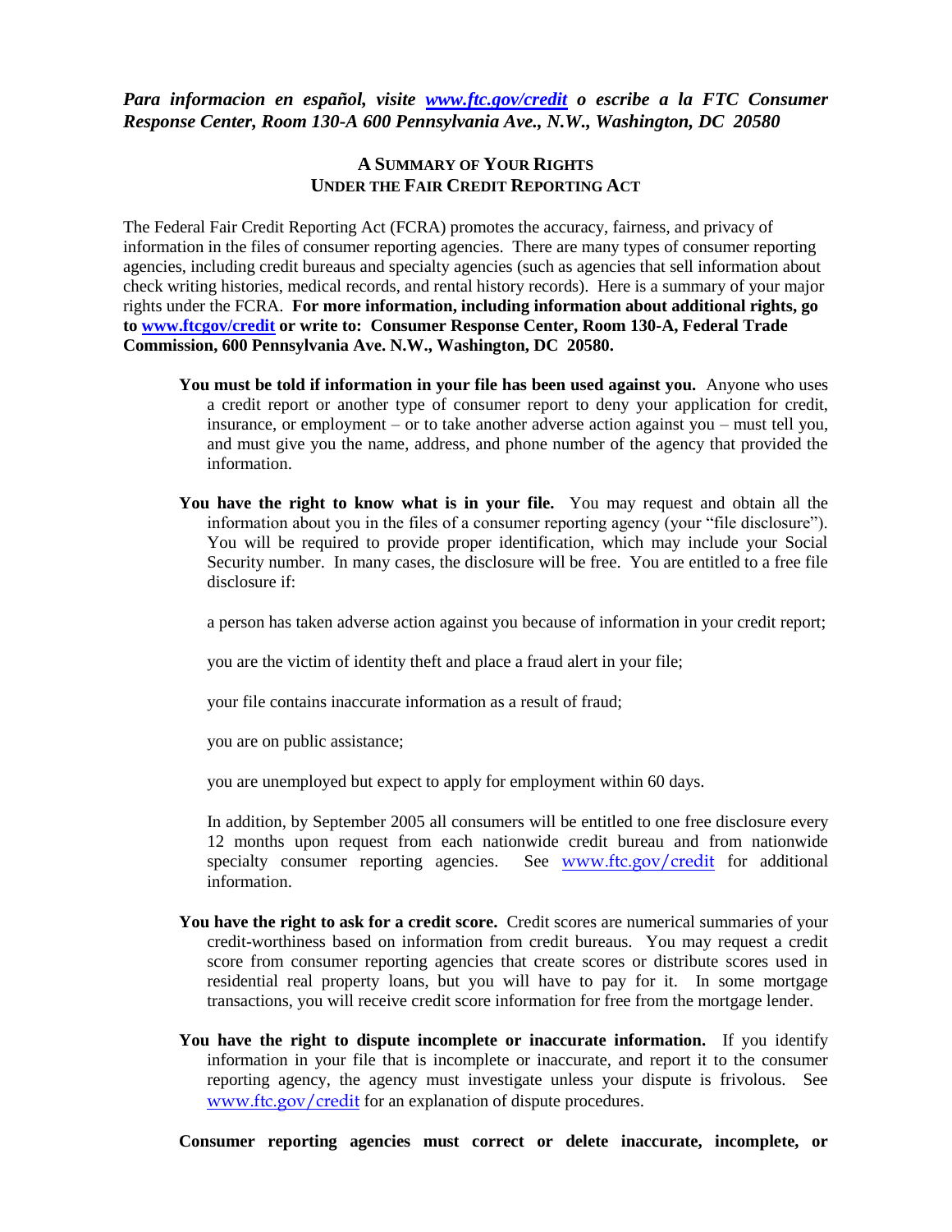*Para informacion en español, visite [www.ftc.gov/credit](http://www.ftc.gov/CREDIT) o escribe a la FTC Consumer Response Center, Room 130-A 600 Pennsylvania Ave., N.W., Washington, DC 20580*

#### **A SUMMARY OF YOUR RIGHTS UNDER THE FAIR CREDIT REPORTING ACT**

The Federal Fair Credit Reporting Act (FCRA) promotes the accuracy, fairness, and privacy of information in the files of consumer reporting agencies. There are many types of consumer reporting agencies, including credit bureaus and specialty agencies (such as agencies that sell information about check writing histories, medical records, and rental history records). Here is a summary of your major rights under the FCRA. **For more information, including information about additional rights, go to [www.ftcgov/credit](http://www.ftcgov/credit) or write to: Consumer Response Center, Room 130-A, Federal Trade Commission, 600 Pennsylvania Ave. N.W., Washington, DC 20580.**

- **You must be told if information in your file has been used against you.** Anyone who uses a credit report or another type of consumer report to deny your application for credit, insurance, or employment – or to take another adverse action against you – must tell you, and must give you the name, address, and phone number of the agency that provided the information.
- **You have the right to know what is in your file.** You may request and obtain all the information about you in the files of a consumer reporting agency (your "file disclosure"). You will be required to provide proper identification, which may include your Social Security number. In many cases, the disclosure will be free. You are entitled to a free file disclosure if:

a person has taken adverse action against you because of information in your credit report;

you are the victim of identity theft and place a fraud alert in your file;

your file contains inaccurate information as a result of fraud;

you are on public assistance;

you are unemployed but expect to apply for employment within 60 days.

In addition, by September 2005 all consumers will be entitled to one free disclosure every 12 months upon request from each nationwide credit bureau and from nationwide specialty consumer reporting agencies. See [www.ftc.gov/credit](http://www.ftc.gov/credit) for additional information.

- **You have the right to ask for a credit score.** Credit scores are numerical summaries of your credit-worthiness based on information from credit bureaus. You may request a credit score from consumer reporting agencies that create scores or distribute scores used in residential real property loans, but you will have to pay for it. In some mortgage transactions, you will receive credit score information for free from the mortgage lender.
- **You have the right to dispute incomplete or inaccurate information.** If you identify information in your file that is incomplete or inaccurate, and report it to the consumer reporting agency, the agency must investigate unless your dispute is frivolous. See [www.ftc.gov/credit](http://www.ftc.gov/credit) for an explanation of dispute procedures.

**Consumer reporting agencies must correct or delete inaccurate, incomplete, or**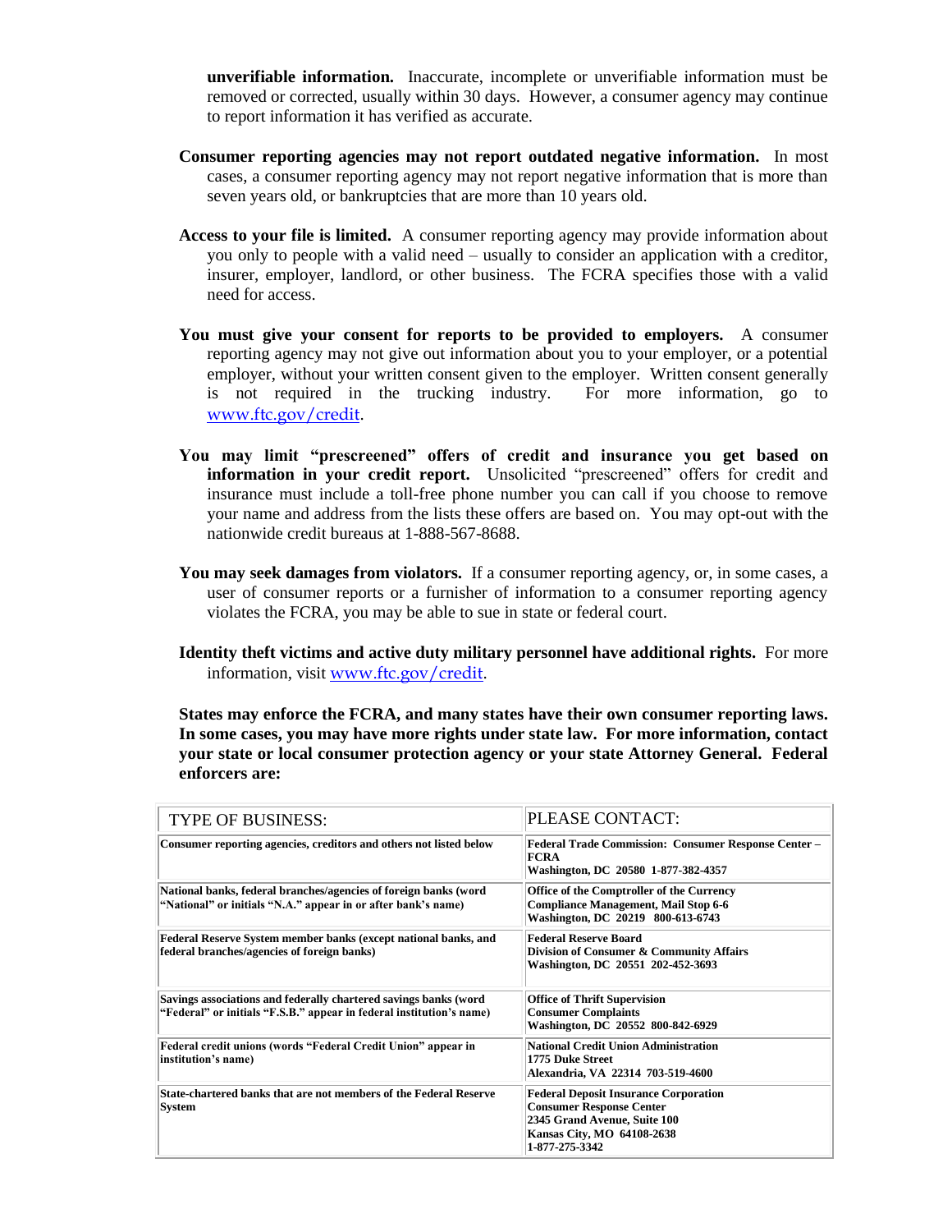**unverifiable information.** Inaccurate, incomplete or unverifiable information must be removed or corrected, usually within 30 days. However, a consumer agency may continue to report information it has verified as accurate.

- **Consumer reporting agencies may not report outdated negative information.** In most cases, a consumer reporting agency may not report negative information that is more than seven years old, or bankruptcies that are more than 10 years old.
- **Access to your file is limited.** A consumer reporting agency may provide information about you only to people with a valid need – usually to consider an application with a creditor, insurer, employer, landlord, or other business. The FCRA specifies those with a valid need for access.
- **You must give your consent for reports to be provided to employers.** A consumer reporting agency may not give out information about you to your employer, or a potential employer, without your written consent given to the employer. Written consent generally is not required in the trucking industry. For more information, go to [www.ftc.gov/credit](http://www.ftc.gov/credit).
- **You may limit "prescreened" offers of credit and insurance you get based on information in your credit report.** Unsolicited "prescreened" offers for credit and insurance must include a toll-free phone number you can call if you choose to remove your name and address from the lists these offers are based on. You may opt-out with the nationwide credit bureaus at 1-888-567-8688.
- **You may seek damages from violators.** If a consumer reporting agency, or, in some cases, a user of consumer reports or a furnisher of information to a consumer reporting agency violates the FCRA, you may be able to sue in state or federal court.
- **Identity theft victims and active duty military personnel have additional rights.** For more information, visit [www.ftc.gov/credit](http://www.ftc.gov/credit).

**States may enforce the FCRA, and many states have their own consumer reporting laws. In some cases, you may have more rights under state law. For more information, contact your state or local consumer protection agency or your state Attorney General. Federal enforcers are:**

| <b>TYPE OF BUSINESS:</b>                                                                                                                 | PLEASE CONTACT:                                                                                                                                                 |
|------------------------------------------------------------------------------------------------------------------------------------------|-----------------------------------------------------------------------------------------------------------------------------------------------------------------|
| Consumer reporting agencies, creditors and others not listed below                                                                       | <b>Federal Trade Commission: Consumer Response Center -</b><br><b>FCRA</b><br>Washington, DC 20580 1-877-382-4357                                               |
| National banks, federal branches/agencies of foreign banks (word<br>"National" or initials "N.A." appear in or after bank's name)        | <b>Office of the Comptroller of the Currency</b><br><b>Compliance Management, Mail Stop 6-6</b><br>Washington, DC 20219 800-613-6743                            |
| Federal Reserve System member banks (except national banks, and<br>federal branches/agencies of foreign banks)                           | <b>Federal Reserve Board</b><br>Division of Consumer & Community Affairs<br>Washington, DC 20551 202-452-3693                                                   |
| Savings associations and federally chartered savings banks (word<br>"Federal" or initials "F.S.B." appear in federal institution's name) | <b>Office of Thrift Supervision</b><br><b>Consumer Complaints</b><br>Washington, DC 20552 800-842-6929                                                          |
| Federal credit unions (words "Federal Credit Union" appear in<br>institution's name)                                                     | National Credit Union Administration<br>1775 Duke Street<br>Alexandria, VA 22314 703-519-4600                                                                   |
| State-chartered banks that are not members of the Federal Reserve<br>System                                                              | <b>Federal Deposit Insurance Corporation</b><br><b>Consumer Response Center</b><br>2345 Grand Avenue, Suite 100<br>Kansas City, MO 64108-2638<br>1-877-275-3342 |